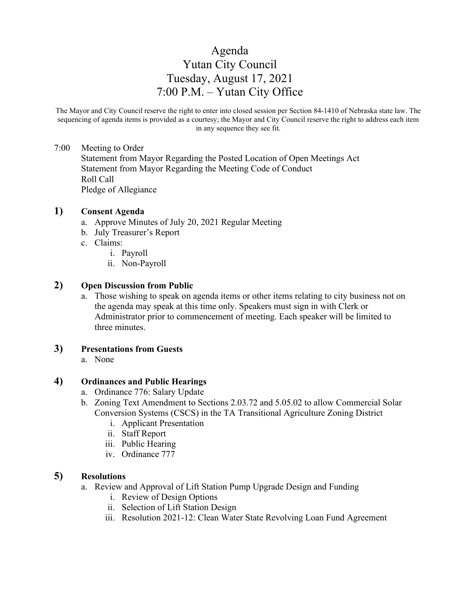# Agenda Yutan City Council Tuesday, August 17, 2021 7:00 P.M. – Yutan City Office

The Mayor and City Council reserve the right to enter into closed session per Section 84-1410 of Nebraska state law. The sequencing of agenda items is provided as a courtesy; the Mayor and City Council reserve the right to address each item in any sequence they see fit.

#### 7:00 Meeting to Order

Statement from Mayor Regarding the Posted Location of Open Meetings Act Statement from Mayor Regarding the Meeting Code of Conduct Roll Call Pledge of Allegiance

## **1) Consent Agenda**

- a. Approve Minutes of July 20, 2021 Regular Meeting
- b. July Treasurer's Report
- c. Claims:
	- i. Payroll
	- ii. Non-Payroll

# **2) Open Discussion from Public**

a. Those wishing to speak on agenda items or other items relating to city business not on the agenda may speak at this time only. Speakers must sign in with Clerk or Administrator prior to commencement of meeting. Each speaker will be limited to three minutes.

# **3) Presentations from Guests**

a. None

# **4) Ordinances and Public Hearings**

- a. Ordinance 776: Salary Update
- b. Zoning Text Amendment to Sections 2.03.72 and 5.05.02 to allow Commercial Solar Conversion Systems (CSCS) in the TA Transitional Agriculture Zoning District
	- i. Applicant Presentation
	- ii. Staff Report
	- iii. Public Hearing
	- iv. Ordinance 777

# **5) Resolutions**

- a. Review and Approval of Lift Station Pump Upgrade Design and Funding
	- i. Review of Design Options
	- ii. Selection of Lift Station Design
	- iii. Resolution 2021-12: Clean Water State Revolving Loan Fund Agreement